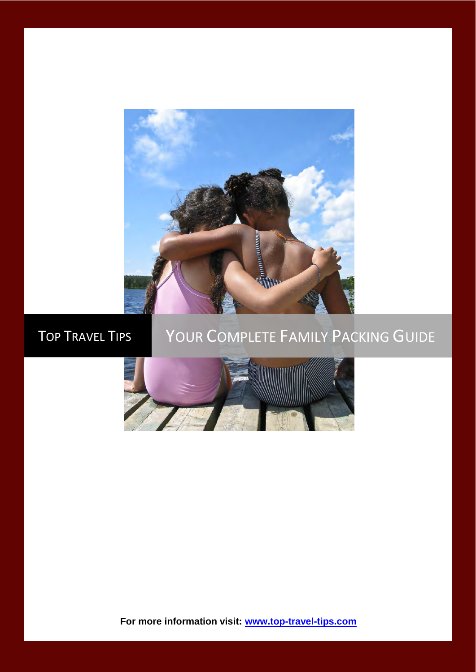

# TOP TRAVEL TIPS YOUR COMPLETE FAMILY PACKING GUIDE



**For more information visit: [www.top-travel-tips.com](http://www.top-travel-tips.com/index.html)**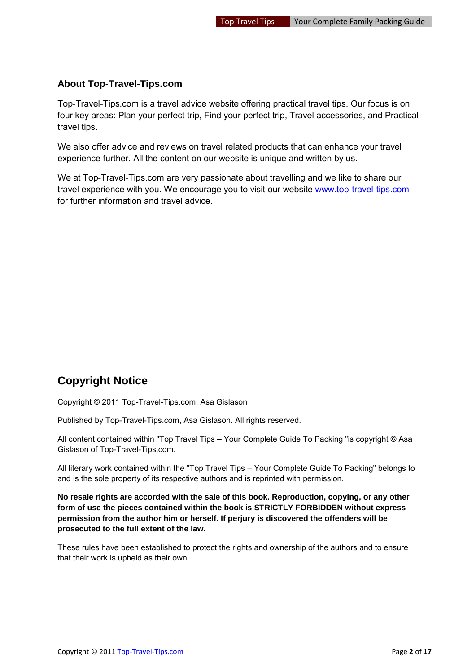#### **About Top-Travel-Tips.com**

Top-Travel-Tips.com is a travel advice website offering practical travel tips. Our focus is on four key areas: Plan your perfect trip, Find your perfect trip, Travel accessories, and Practical travel tips.

We also offer advice and reviews on travel related products that can enhance your travel experience further. All the content on our website is unique and written by us.

We at Top-Travel-Tips.com are very passionate about travelling and we like to share our travel experience with you. We encourage you to visit our website [www.top-travel-tips.com](http://www.top-travel-tips.com/index.html) for further information and travel advice.

# **Copyright Notice**

Copyright © 2011 Top-Travel-Tips.com, Asa Gislason

Published by Top-Travel-Tips.com, Asa Gislason. All rights reserved.

All content contained within "Top Travel Tips – Your Complete Guide To Packing "is copyright © Asa Gislason of Top-Travel-Tips.com.

All literary work contained within the "Top Travel Tips – Your Complete Guide To Packing" belongs to and is the sole property of its respective authors and is reprinted with permission.

**No resale rights are accorded with the sale of this book. Reproduction, copying, or any other form of use the pieces contained within the book is STRICTLY FORBIDDEN without express permission from the author him or herself. If perjury is discovered the offenders will be prosecuted to the full extent of the law.** 

These rules have been established to protect the rights and ownership of the authors and to ensure that their work is upheld as their own.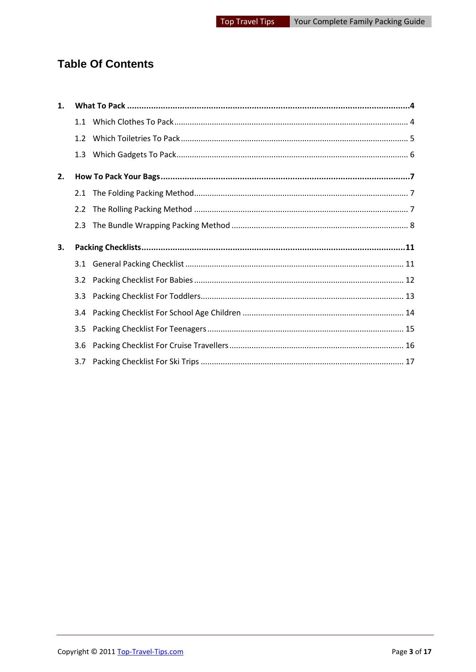# **Table Of Contents**

| 1. |                  |  |
|----|------------------|--|
|    |                  |  |
|    |                  |  |
|    |                  |  |
| 2. |                  |  |
|    | 2.1              |  |
|    | $2.2^{\circ}$    |  |
|    | 2.3              |  |
| 3. |                  |  |
|    | 3.1              |  |
|    |                  |  |
|    | 3.3 <sub>1</sub> |  |
|    | $3.4^{\circ}$    |  |
|    | 3.5              |  |
|    | 3.6              |  |
|    | 3.7              |  |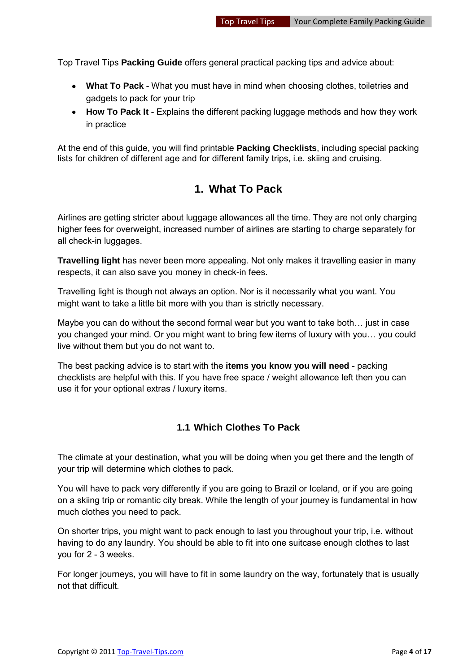Top Travel Tips **Packing Guide** offers general practical packing tips and advice about:

- **What To Pack** What you must have in mind when choosing clothes, toiletries and gadgets to pack for your trip
- **How To Pack It** Explains the different packing luggage methods and how they work in practice

<span id="page-3-0"></span>At the end of this guide, you will find printable **Packing Checklists**, including special packing lists for children of different age and for different family trips, i.e. skiing and cruising.

### **1. What To Pack**

Airlines are getting stricter about luggage allowances all the time. They are not only charging higher fees for overweight, increased number of airlines are starting to charge separately for all check-in luggages.

**Travelling light** has never been more appealing. Not only makes it travelling easier in many respects, it can also save you money in check-in fees.

Travelling light is though not always an option. Nor is it necessarily what you want. You might want to take a little bit more with you than is strictly necessary.

Maybe you can do without the second formal wear but you want to take both… just in case you changed your mind. Or you might want to bring few items of luxury with you… you could live without them but you do not want to.

The best packing advice is to start with the **items you know you will need** - packing checklists are helpful with this. If you have free space / weight allowance left then you can use it for your optional extras / luxury items.

#### <span id="page-3-1"></span>**1.1 Which Clothes To Pack**

The climate at your destination, what you will be doing when you get there and the length of your trip will determine which clothes to pack.

You will have to pack very differently if you are going to Brazil or Iceland, or if you are going on a skiing trip or romantic city break. While the length of your journey is fundamental in how much clothes you need to pack.

On shorter trips, you might want to pack enough to last you throughout your trip, i.e. without having to do any laundry. You should be able to fit into one suitcase enough clothes to last you for 2 - 3 weeks.

For longer journeys, you will have to fit in some laundry on the way, fortunately that is usually not that difficult.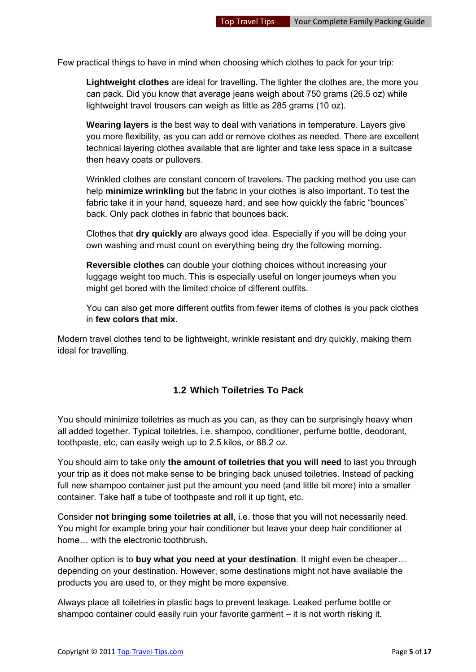Few practical things to have in mind when choosing which clothes to pack for your trip:

**Lightweight clothes** are ideal for travelling. The lighter the clothes are, the more you can pack. Did you know that average jeans weigh about 750 grams (26.5 oz) while lightweight travel trousers can weigh as little as 285 grams (10 oz).

**Wearing layers** is the best way to deal with variations in temperature. Layers give you more flexibility, as you can add or remove clothes as needed. There are excellent technical layering clothes available that are lighter and take less space in a suitcase then heavy coats or pullovers.

Wrinkled clothes are constant concern of travelers. The packing method you use can help **minimize wrinkling** but the fabric in your clothes is also important. To test the fabric take it in your hand, squeeze hard, and see how quickly the fabric "bounces" back. Only pack clothes in fabric that bounces back.

Clothes that **dry quickly** are always good idea. Especially if you will be doing your own washing and must count on everything being dry the following morning.

**Reversible clothes** can double your clothing choices without increasing your luggage weight too much. This is especially useful on longer journeys when you might get bored with the limited choice of different outfits.

You can also get more different outfits from fewer items of clothes is you pack clothes in **few colors that mix**.

Modern travel clothes tend to be lightweight, wrinkle resistant and dry quickly, making them ideal for travelling.

#### <span id="page-4-0"></span>**1.2 Which Toiletries To Pack**

You should minimize toiletries as much as you can, as they can be surprisingly heavy when all added together. Typical toiletries, i.e. shampoo, conditioner, perfume bottle, deodorant, toothpaste, etc, can easily weigh up to 2.5 kilos, or 88.2 oz.

You should aim to take only **the amount of toiletries that you will need** to last you through your trip as it does not make sense to be bringing back unused toiletries. Instead of packing full new shampoo container just put the amount you need (and little bit more) into a smaller container. Take half a tube of toothpaste and roll it up tight, etc.

Consider **not bringing some toiletries at all**, i.e. those that you will not necessarily need. You might for example bring your hair conditioner but leave your deep hair conditioner at home… with the electronic toothbrush.

Another option is to **buy what you need at your destination**. It might even be cheaper… depending on your destination. However, some destinations might not have available the products you are used to, or they might be more expensive.

Always place all toiletries in plastic bags to prevent leakage. Leaked perfume bottle or shampoo container could easily ruin your favorite garment – it is not worth risking it.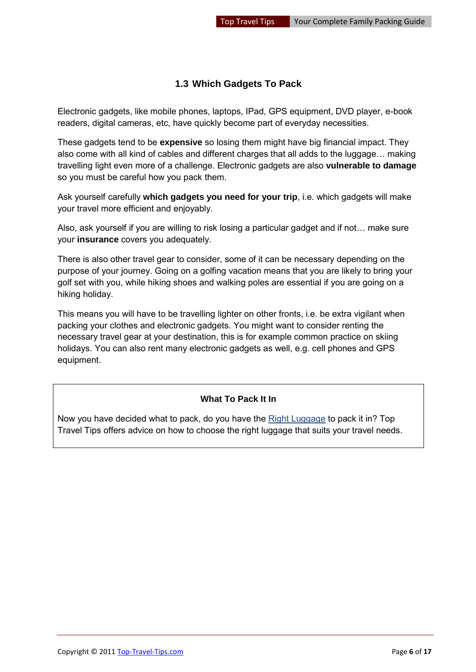#### <span id="page-5-0"></span>**1.3 Which Gadgets To Pack**

Electronic gadgets, like mobile phones, laptops, IPad, GPS equipment, DVD player, e-book readers, digital cameras, etc, have quickly become part of everyday necessities.

These gadgets tend to be **expensive** so losing them might have big financial impact. They also come with all kind of cables and different charges that all adds to the luggage… making travelling light even more of a challenge. Electronic gadgets are also **vulnerable to damage** so you must be careful how you pack them.

Ask yourself carefully **which gadgets you need for your trip**, i.e. which gadgets will make your travel more efficient and enjoyably.

Also, ask yourself if you are willing to risk losing a particular gadget and if not… make sure your **insurance** covers you adequately.

There is also other travel gear to consider, some of it can be necessary depending on the purpose of your journey. Going on a golfing vacation means that you are likely to bring your golf set with you, while hiking shoes and walking poles are essential if you are going on a hiking holiday.

This means you will have to be travelling lighter on other fronts, i.e. be extra vigilant when packing your clothes and electronic gadgets. You might want to consider renting the necessary travel gear at your destination, this is for example common practice on skiing holidays. You can also rent many electronic gadgets as well, e.g. cell phones and GPS equipment.

#### **What To Pack It In**

Now you have decided what to pack, do you have the [Right Luggage](http://www.top-travel-tips.com/international-traveler-luggage.html) to pack it in? Top Travel Tips offers advice on how to choose the right luggage that suits your travel needs.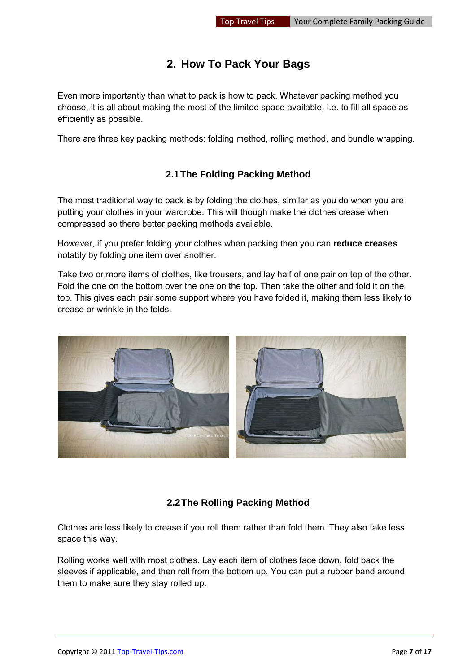## **2. How To Pack Your Bags**

<span id="page-6-0"></span>Even more importantly than what to pack is how to pack. Whatever packing method you choose, it is all about making the most of the limited space available, i.e. to fill all space as efficiently as possible.

There are three key packing methods: folding method, rolling method, and bundle wrapping.

#### **2.1 The Folding Packing Method**

<span id="page-6-1"></span>The most traditional way to pack is by folding the clothes, similar as you do when you are putting your clothes in your wardrobe. This will though make the clothes crease when compressed so there better packing methods available.

However, if you prefer folding your clothes when packing then you can **reduce creases** notably by folding one item over another.

Take two or more items of clothes, like trousers, and lay half of one pair on top of the other. Fold the one on the bottom over the one on the top. Then take the other and fold it on the top. This gives each pair some support where you have folded it, making them less likely to crease or wrinkle in the folds.



#### **2.2 The Rolling Packing Method**

<span id="page-6-2"></span>Clothes are less likely to crease if you roll them rather than fold them. They also take less space this way.

Rolling works well with most clothes. Lay each item of clothes face down, fold back the sleeves if applicable, and then roll from the bottom up. You can put a rubber band around them to make sure they stay rolled up.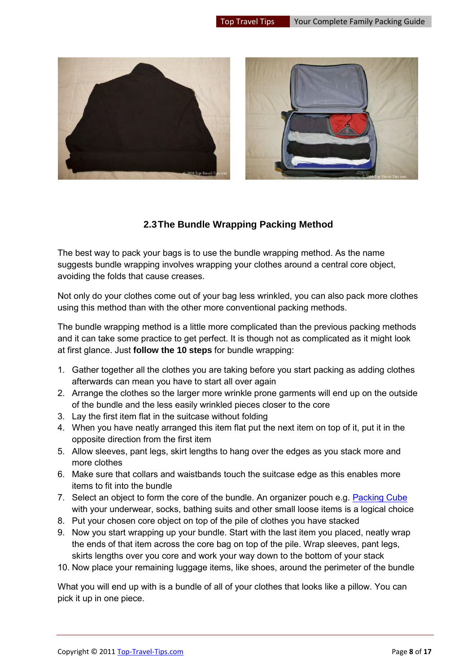

#### **2.3 The Bundle Wrapping Packing Method**

<span id="page-7-0"></span>The best way to pack your bags is to use the bundle wrapping method. As the name suggests bundle wrapping involves wrapping your clothes around a central core object, avoiding the folds that cause creases.

Not only do your clothes come out of your bag less wrinkled, you can also pack more clothes using this method than with the other more conventional packing methods.

The bundle wrapping method is a little more complicated than the previous packing methods and it can take some practice to get perfect. It is though not as complicated as it might look at first glance. Just **follow the 10 steps** for bundle wrapping:

- 1. Gather together all the clothes you are taking before you start packing as adding clothes afterwards can mean you have to start all over again
- 2. Arrange the clothes so the larger more wrinkle prone garments will end up on the outside of the bundle and the less easily wrinkled pieces closer to the core
- 3. Lay the first item flat in the suitcase without folding
- 4. When you have neatly arranged this item flat put the next item on top of it, put it in the opposite direction from the first item
- 5. Allow sleeves, pant legs, skirt lengths to hang over the edges as you stack more and more clothes
- 6. Make sure that collars and waistbands touch the suitcase edge as this enables more items to fit into the bundle
- 7. Select an object to form the core of the bundle. An organizer pouch e.g. [Packing Cube](http://www.top-travel-tips.com/packing-cubes.html) with your underwear, socks, bathing suits and other small loose items is a logical choice
- 8. Put your chosen core object on top of the pile of clothes you have stacked
- 9. Now you start wrapping up your bundle. Start with the last item you placed, neatly wrap the ends of that item across the core bag on top of the pile. Wrap sleeves, pant legs, skirts lengths over you core and work your way down to the bottom of your stack
- 10. Now place your remaining luggage items, like shoes, around the perimeter of the bundle

What you will end up with is a bundle of all of your clothes that looks like a pillow. You can pick it up in one piece.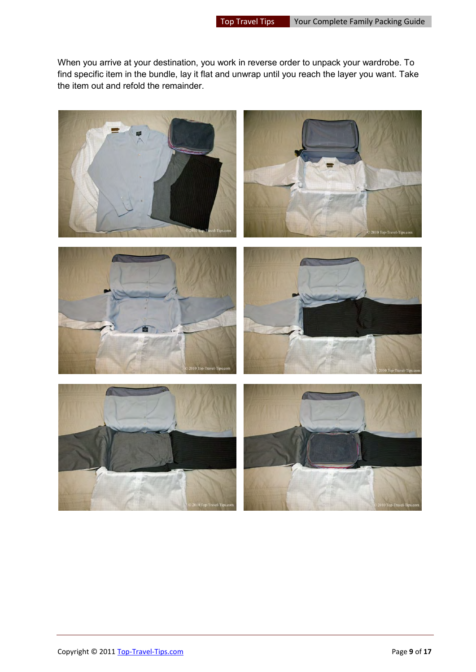When you arrive at your destination, you work in reverse order to unpack your wardrobe. To find specific item in the bundle, lay it flat and unwrap until you reach the layer you want. Take the item out and refold the remainder.

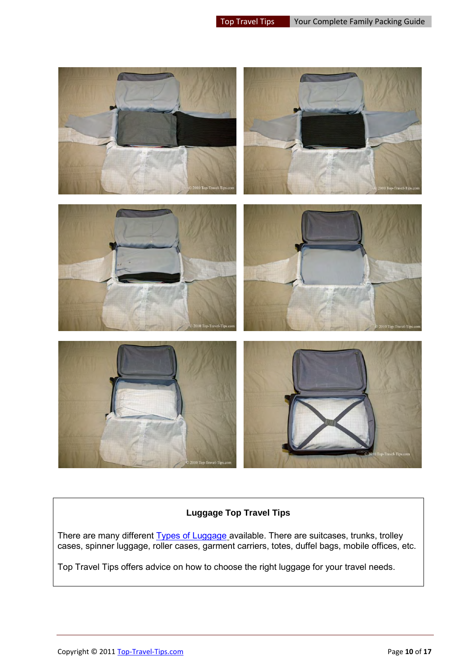

#### **Luggage Top Travel Tips**

There are many different [Types of Luggage](http://www.top-travel-tips.com/cabin-luggage.html) available. There are suitcases, trunks, trolley cases, spinner luggage, roller cases, garment carriers, totes, duffel bags, mobile offices, etc.

Top Travel Tips offers advice on how to choose the right luggage for your travel needs.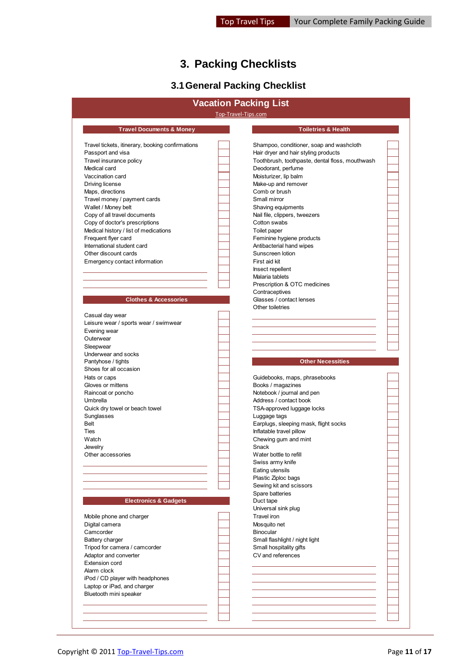# **3. Packing Checklists**

# **3.1 General Packing Checklist**

<span id="page-10-1"></span><span id="page-10-0"></span>

| Top-Travel-Tips.com<br><b>Travel Documents &amp; Money</b><br><b>Toiletries &amp; Health</b><br>Shampoo, conditioner, soap and washcloth<br>Hair dryer and hair styling products<br>Toothbrush, toothpaste, dental floss, mouthwash<br>Deodorant, perfume<br>Moisturizer, lip balm<br>Make-up and remover<br>Comb or brush<br>Small mirror<br>Shaving equipments<br>Nail file, clippers, tweezers<br>Cotton swabs<br>Toilet paper<br>Feminine hygiene products<br>Antibacterial hand wipes<br>Sunscreen lotion<br>First aid kit<br>Insect repellent<br>Malaria tablets<br>Prescription & OTC medicines<br>Contraceptives<br><b>Clothes &amp; Accessories</b><br>Glasses / contact lenses<br>Other toiletries<br><b>Other Necessities</b><br>Guidebooks, maps, phrasebooks<br>Books / magazines<br>Notebook / journal and pen<br>Address / contact book<br>TSA-approved luggage locks<br>Luggage tags<br>Earplugs, sleeping mask, flight socks<br>Inflatable travel pillow<br>Chewing gum and mint<br>Snack<br>Water bottle to refill<br>Swiss army knife<br>Eating utensils<br>Plastic Ziploc bags<br>Sewing kit and scissors<br>Spare batteries<br><b>Electronics &amp; Gadgets</b><br>Duct tape<br>Universal sink plug<br>Travel iron<br>Mobile phone and charger<br>Digital camera<br>Mosquito net<br><b>Binocular</b><br>Small flashlight / night light<br><b>Battery charger</b><br>Small hospitality gifts<br>Tripod for camera / camcorder<br>CV and references<br>Adaptor and converter<br><b>Extension cord</b><br>Alarm clock<br>iPod / CD player with headphones<br>Laptop or iPad, and charger<br>Bluetooth mini speaker |                                                  | <b>Vacation Packing List</b> |  |
|--------------------------------------------------------------------------------------------------------------------------------------------------------------------------------------------------------------------------------------------------------------------------------------------------------------------------------------------------------------------------------------------------------------------------------------------------------------------------------------------------------------------------------------------------------------------------------------------------------------------------------------------------------------------------------------------------------------------------------------------------------------------------------------------------------------------------------------------------------------------------------------------------------------------------------------------------------------------------------------------------------------------------------------------------------------------------------------------------------------------------------------------------------------------------------------------------------------------------------------------------------------------------------------------------------------------------------------------------------------------------------------------------------------------------------------------------------------------------------------------------------------------------------------------------------------------------------------------------------------------------------------|--------------------------------------------------|------------------------------|--|
|                                                                                                                                                                                                                                                                                                                                                                                                                                                                                                                                                                                                                                                                                                                                                                                                                                                                                                                                                                                                                                                                                                                                                                                                                                                                                                                                                                                                                                                                                                                                                                                                                                      |                                                  |                              |  |
|                                                                                                                                                                                                                                                                                                                                                                                                                                                                                                                                                                                                                                                                                                                                                                                                                                                                                                                                                                                                                                                                                                                                                                                                                                                                                                                                                                                                                                                                                                                                                                                                                                      |                                                  |                              |  |
|                                                                                                                                                                                                                                                                                                                                                                                                                                                                                                                                                                                                                                                                                                                                                                                                                                                                                                                                                                                                                                                                                                                                                                                                                                                                                                                                                                                                                                                                                                                                                                                                                                      | Travel tickets, itinerary, booking confirmations |                              |  |
|                                                                                                                                                                                                                                                                                                                                                                                                                                                                                                                                                                                                                                                                                                                                                                                                                                                                                                                                                                                                                                                                                                                                                                                                                                                                                                                                                                                                                                                                                                                                                                                                                                      | Passport and visa                                |                              |  |
|                                                                                                                                                                                                                                                                                                                                                                                                                                                                                                                                                                                                                                                                                                                                                                                                                                                                                                                                                                                                                                                                                                                                                                                                                                                                                                                                                                                                                                                                                                                                                                                                                                      | Travel insurance policy                          |                              |  |
|                                                                                                                                                                                                                                                                                                                                                                                                                                                                                                                                                                                                                                                                                                                                                                                                                                                                                                                                                                                                                                                                                                                                                                                                                                                                                                                                                                                                                                                                                                                                                                                                                                      | Medical card                                     |                              |  |
|                                                                                                                                                                                                                                                                                                                                                                                                                                                                                                                                                                                                                                                                                                                                                                                                                                                                                                                                                                                                                                                                                                                                                                                                                                                                                                                                                                                                                                                                                                                                                                                                                                      | Vaccination card                                 |                              |  |
|                                                                                                                                                                                                                                                                                                                                                                                                                                                                                                                                                                                                                                                                                                                                                                                                                                                                                                                                                                                                                                                                                                                                                                                                                                                                                                                                                                                                                                                                                                                                                                                                                                      | Driving license                                  |                              |  |
|                                                                                                                                                                                                                                                                                                                                                                                                                                                                                                                                                                                                                                                                                                                                                                                                                                                                                                                                                                                                                                                                                                                                                                                                                                                                                                                                                                                                                                                                                                                                                                                                                                      | Maps, directions                                 |                              |  |
|                                                                                                                                                                                                                                                                                                                                                                                                                                                                                                                                                                                                                                                                                                                                                                                                                                                                                                                                                                                                                                                                                                                                                                                                                                                                                                                                                                                                                                                                                                                                                                                                                                      | Travel money / payment cards                     |                              |  |
|                                                                                                                                                                                                                                                                                                                                                                                                                                                                                                                                                                                                                                                                                                                                                                                                                                                                                                                                                                                                                                                                                                                                                                                                                                                                                                                                                                                                                                                                                                                                                                                                                                      | Wallet / Money belt                              |                              |  |
|                                                                                                                                                                                                                                                                                                                                                                                                                                                                                                                                                                                                                                                                                                                                                                                                                                                                                                                                                                                                                                                                                                                                                                                                                                                                                                                                                                                                                                                                                                                                                                                                                                      | Copy of all travel documents                     |                              |  |
|                                                                                                                                                                                                                                                                                                                                                                                                                                                                                                                                                                                                                                                                                                                                                                                                                                                                                                                                                                                                                                                                                                                                                                                                                                                                                                                                                                                                                                                                                                                                                                                                                                      | Copy of doctor's prescriptions                   |                              |  |
|                                                                                                                                                                                                                                                                                                                                                                                                                                                                                                                                                                                                                                                                                                                                                                                                                                                                                                                                                                                                                                                                                                                                                                                                                                                                                                                                                                                                                                                                                                                                                                                                                                      | Medical history / list of medications            |                              |  |
|                                                                                                                                                                                                                                                                                                                                                                                                                                                                                                                                                                                                                                                                                                                                                                                                                                                                                                                                                                                                                                                                                                                                                                                                                                                                                                                                                                                                                                                                                                                                                                                                                                      | Frequent flyer card                              |                              |  |
|                                                                                                                                                                                                                                                                                                                                                                                                                                                                                                                                                                                                                                                                                                                                                                                                                                                                                                                                                                                                                                                                                                                                                                                                                                                                                                                                                                                                                                                                                                                                                                                                                                      | International student card                       |                              |  |
|                                                                                                                                                                                                                                                                                                                                                                                                                                                                                                                                                                                                                                                                                                                                                                                                                                                                                                                                                                                                                                                                                                                                                                                                                                                                                                                                                                                                                                                                                                                                                                                                                                      | Other discount cards                             |                              |  |
|                                                                                                                                                                                                                                                                                                                                                                                                                                                                                                                                                                                                                                                                                                                                                                                                                                                                                                                                                                                                                                                                                                                                                                                                                                                                                                                                                                                                                                                                                                                                                                                                                                      | Emergency contact information                    |                              |  |
|                                                                                                                                                                                                                                                                                                                                                                                                                                                                                                                                                                                                                                                                                                                                                                                                                                                                                                                                                                                                                                                                                                                                                                                                                                                                                                                                                                                                                                                                                                                                                                                                                                      |                                                  |                              |  |
|                                                                                                                                                                                                                                                                                                                                                                                                                                                                                                                                                                                                                                                                                                                                                                                                                                                                                                                                                                                                                                                                                                                                                                                                                                                                                                                                                                                                                                                                                                                                                                                                                                      |                                                  |                              |  |
|                                                                                                                                                                                                                                                                                                                                                                                                                                                                                                                                                                                                                                                                                                                                                                                                                                                                                                                                                                                                                                                                                                                                                                                                                                                                                                                                                                                                                                                                                                                                                                                                                                      |                                                  |                              |  |
|                                                                                                                                                                                                                                                                                                                                                                                                                                                                                                                                                                                                                                                                                                                                                                                                                                                                                                                                                                                                                                                                                                                                                                                                                                                                                                                                                                                                                                                                                                                                                                                                                                      |                                                  |                              |  |
|                                                                                                                                                                                                                                                                                                                                                                                                                                                                                                                                                                                                                                                                                                                                                                                                                                                                                                                                                                                                                                                                                                                                                                                                                                                                                                                                                                                                                                                                                                                                                                                                                                      |                                                  |                              |  |
|                                                                                                                                                                                                                                                                                                                                                                                                                                                                                                                                                                                                                                                                                                                                                                                                                                                                                                                                                                                                                                                                                                                                                                                                                                                                                                                                                                                                                                                                                                                                                                                                                                      |                                                  |                              |  |
|                                                                                                                                                                                                                                                                                                                                                                                                                                                                                                                                                                                                                                                                                                                                                                                                                                                                                                                                                                                                                                                                                                                                                                                                                                                                                                                                                                                                                                                                                                                                                                                                                                      | Casual day wear                                  |                              |  |
|                                                                                                                                                                                                                                                                                                                                                                                                                                                                                                                                                                                                                                                                                                                                                                                                                                                                                                                                                                                                                                                                                                                                                                                                                                                                                                                                                                                                                                                                                                                                                                                                                                      | Leisure wear / sports wear / swimwear            |                              |  |
|                                                                                                                                                                                                                                                                                                                                                                                                                                                                                                                                                                                                                                                                                                                                                                                                                                                                                                                                                                                                                                                                                                                                                                                                                                                                                                                                                                                                                                                                                                                                                                                                                                      | Evening wear                                     |                              |  |
|                                                                                                                                                                                                                                                                                                                                                                                                                                                                                                                                                                                                                                                                                                                                                                                                                                                                                                                                                                                                                                                                                                                                                                                                                                                                                                                                                                                                                                                                                                                                                                                                                                      | Outerwear                                        |                              |  |
|                                                                                                                                                                                                                                                                                                                                                                                                                                                                                                                                                                                                                                                                                                                                                                                                                                                                                                                                                                                                                                                                                                                                                                                                                                                                                                                                                                                                                                                                                                                                                                                                                                      | Sleepwear                                        |                              |  |
|                                                                                                                                                                                                                                                                                                                                                                                                                                                                                                                                                                                                                                                                                                                                                                                                                                                                                                                                                                                                                                                                                                                                                                                                                                                                                                                                                                                                                                                                                                                                                                                                                                      | Underwear and socks                              |                              |  |
|                                                                                                                                                                                                                                                                                                                                                                                                                                                                                                                                                                                                                                                                                                                                                                                                                                                                                                                                                                                                                                                                                                                                                                                                                                                                                                                                                                                                                                                                                                                                                                                                                                      | Pantyhose / tights                               |                              |  |
|                                                                                                                                                                                                                                                                                                                                                                                                                                                                                                                                                                                                                                                                                                                                                                                                                                                                                                                                                                                                                                                                                                                                                                                                                                                                                                                                                                                                                                                                                                                                                                                                                                      | Shoes for all occasion                           |                              |  |
|                                                                                                                                                                                                                                                                                                                                                                                                                                                                                                                                                                                                                                                                                                                                                                                                                                                                                                                                                                                                                                                                                                                                                                                                                                                                                                                                                                                                                                                                                                                                                                                                                                      | Hats or caps                                     |                              |  |
|                                                                                                                                                                                                                                                                                                                                                                                                                                                                                                                                                                                                                                                                                                                                                                                                                                                                                                                                                                                                                                                                                                                                                                                                                                                                                                                                                                                                                                                                                                                                                                                                                                      | Gloves or mittens                                |                              |  |
|                                                                                                                                                                                                                                                                                                                                                                                                                                                                                                                                                                                                                                                                                                                                                                                                                                                                                                                                                                                                                                                                                                                                                                                                                                                                                                                                                                                                                                                                                                                                                                                                                                      | Raincoat or poncho                               |                              |  |
|                                                                                                                                                                                                                                                                                                                                                                                                                                                                                                                                                                                                                                                                                                                                                                                                                                                                                                                                                                                                                                                                                                                                                                                                                                                                                                                                                                                                                                                                                                                                                                                                                                      | Umbrella                                         |                              |  |
|                                                                                                                                                                                                                                                                                                                                                                                                                                                                                                                                                                                                                                                                                                                                                                                                                                                                                                                                                                                                                                                                                                                                                                                                                                                                                                                                                                                                                                                                                                                                                                                                                                      | Quick dry towel or beach towel                   |                              |  |
|                                                                                                                                                                                                                                                                                                                                                                                                                                                                                                                                                                                                                                                                                                                                                                                                                                                                                                                                                                                                                                                                                                                                                                                                                                                                                                                                                                                                                                                                                                                                                                                                                                      | Sunglasses                                       |                              |  |
|                                                                                                                                                                                                                                                                                                                                                                                                                                                                                                                                                                                                                                                                                                                                                                                                                                                                                                                                                                                                                                                                                                                                                                                                                                                                                                                                                                                                                                                                                                                                                                                                                                      | <b>Belt</b>                                      |                              |  |
|                                                                                                                                                                                                                                                                                                                                                                                                                                                                                                                                                                                                                                                                                                                                                                                                                                                                                                                                                                                                                                                                                                                                                                                                                                                                                                                                                                                                                                                                                                                                                                                                                                      | Ties                                             |                              |  |
|                                                                                                                                                                                                                                                                                                                                                                                                                                                                                                                                                                                                                                                                                                                                                                                                                                                                                                                                                                                                                                                                                                                                                                                                                                                                                                                                                                                                                                                                                                                                                                                                                                      | Watch                                            |                              |  |
|                                                                                                                                                                                                                                                                                                                                                                                                                                                                                                                                                                                                                                                                                                                                                                                                                                                                                                                                                                                                                                                                                                                                                                                                                                                                                                                                                                                                                                                                                                                                                                                                                                      | Jewelry                                          |                              |  |
|                                                                                                                                                                                                                                                                                                                                                                                                                                                                                                                                                                                                                                                                                                                                                                                                                                                                                                                                                                                                                                                                                                                                                                                                                                                                                                                                                                                                                                                                                                                                                                                                                                      | Other accessories                                |                              |  |
|                                                                                                                                                                                                                                                                                                                                                                                                                                                                                                                                                                                                                                                                                                                                                                                                                                                                                                                                                                                                                                                                                                                                                                                                                                                                                                                                                                                                                                                                                                                                                                                                                                      |                                                  |                              |  |
|                                                                                                                                                                                                                                                                                                                                                                                                                                                                                                                                                                                                                                                                                                                                                                                                                                                                                                                                                                                                                                                                                                                                                                                                                                                                                                                                                                                                                                                                                                                                                                                                                                      |                                                  |                              |  |
|                                                                                                                                                                                                                                                                                                                                                                                                                                                                                                                                                                                                                                                                                                                                                                                                                                                                                                                                                                                                                                                                                                                                                                                                                                                                                                                                                                                                                                                                                                                                                                                                                                      |                                                  |                              |  |
|                                                                                                                                                                                                                                                                                                                                                                                                                                                                                                                                                                                                                                                                                                                                                                                                                                                                                                                                                                                                                                                                                                                                                                                                                                                                                                                                                                                                                                                                                                                                                                                                                                      |                                                  |                              |  |
|                                                                                                                                                                                                                                                                                                                                                                                                                                                                                                                                                                                                                                                                                                                                                                                                                                                                                                                                                                                                                                                                                                                                                                                                                                                                                                                                                                                                                                                                                                                                                                                                                                      |                                                  |                              |  |
|                                                                                                                                                                                                                                                                                                                                                                                                                                                                                                                                                                                                                                                                                                                                                                                                                                                                                                                                                                                                                                                                                                                                                                                                                                                                                                                                                                                                                                                                                                                                                                                                                                      |                                                  |                              |  |
|                                                                                                                                                                                                                                                                                                                                                                                                                                                                                                                                                                                                                                                                                                                                                                                                                                                                                                                                                                                                                                                                                                                                                                                                                                                                                                                                                                                                                                                                                                                                                                                                                                      |                                                  |                              |  |
|                                                                                                                                                                                                                                                                                                                                                                                                                                                                                                                                                                                                                                                                                                                                                                                                                                                                                                                                                                                                                                                                                                                                                                                                                                                                                                                                                                                                                                                                                                                                                                                                                                      |                                                  |                              |  |
|                                                                                                                                                                                                                                                                                                                                                                                                                                                                                                                                                                                                                                                                                                                                                                                                                                                                                                                                                                                                                                                                                                                                                                                                                                                                                                                                                                                                                                                                                                                                                                                                                                      |                                                  |                              |  |
|                                                                                                                                                                                                                                                                                                                                                                                                                                                                                                                                                                                                                                                                                                                                                                                                                                                                                                                                                                                                                                                                                                                                                                                                                                                                                                                                                                                                                                                                                                                                                                                                                                      | Camcorder                                        |                              |  |
|                                                                                                                                                                                                                                                                                                                                                                                                                                                                                                                                                                                                                                                                                                                                                                                                                                                                                                                                                                                                                                                                                                                                                                                                                                                                                                                                                                                                                                                                                                                                                                                                                                      |                                                  |                              |  |
|                                                                                                                                                                                                                                                                                                                                                                                                                                                                                                                                                                                                                                                                                                                                                                                                                                                                                                                                                                                                                                                                                                                                                                                                                                                                                                                                                                                                                                                                                                                                                                                                                                      |                                                  |                              |  |
|                                                                                                                                                                                                                                                                                                                                                                                                                                                                                                                                                                                                                                                                                                                                                                                                                                                                                                                                                                                                                                                                                                                                                                                                                                                                                                                                                                                                                                                                                                                                                                                                                                      |                                                  |                              |  |
|                                                                                                                                                                                                                                                                                                                                                                                                                                                                                                                                                                                                                                                                                                                                                                                                                                                                                                                                                                                                                                                                                                                                                                                                                                                                                                                                                                                                                                                                                                                                                                                                                                      |                                                  |                              |  |
|                                                                                                                                                                                                                                                                                                                                                                                                                                                                                                                                                                                                                                                                                                                                                                                                                                                                                                                                                                                                                                                                                                                                                                                                                                                                                                                                                                                                                                                                                                                                                                                                                                      |                                                  |                              |  |
|                                                                                                                                                                                                                                                                                                                                                                                                                                                                                                                                                                                                                                                                                                                                                                                                                                                                                                                                                                                                                                                                                                                                                                                                                                                                                                                                                                                                                                                                                                                                                                                                                                      |                                                  |                              |  |
|                                                                                                                                                                                                                                                                                                                                                                                                                                                                                                                                                                                                                                                                                                                                                                                                                                                                                                                                                                                                                                                                                                                                                                                                                                                                                                                                                                                                                                                                                                                                                                                                                                      |                                                  |                              |  |
|                                                                                                                                                                                                                                                                                                                                                                                                                                                                                                                                                                                                                                                                                                                                                                                                                                                                                                                                                                                                                                                                                                                                                                                                                                                                                                                                                                                                                                                                                                                                                                                                                                      |                                                  |                              |  |
|                                                                                                                                                                                                                                                                                                                                                                                                                                                                                                                                                                                                                                                                                                                                                                                                                                                                                                                                                                                                                                                                                                                                                                                                                                                                                                                                                                                                                                                                                                                                                                                                                                      |                                                  |                              |  |
|                                                                                                                                                                                                                                                                                                                                                                                                                                                                                                                                                                                                                                                                                                                                                                                                                                                                                                                                                                                                                                                                                                                                                                                                                                                                                                                                                                                                                                                                                                                                                                                                                                      |                                                  |                              |  |
|                                                                                                                                                                                                                                                                                                                                                                                                                                                                                                                                                                                                                                                                                                                                                                                                                                                                                                                                                                                                                                                                                                                                                                                                                                                                                                                                                                                                                                                                                                                                                                                                                                      |                                                  |                              |  |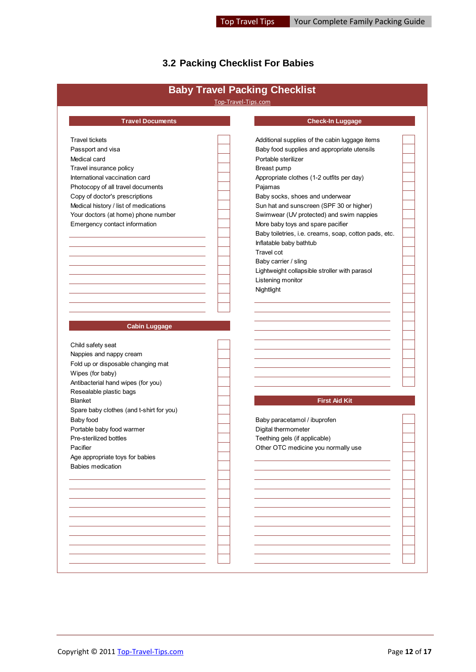# <span id="page-11-0"></span>**3.2 Packing Checklist For Babies**

|                                          | Top-Travel-Tips.com                                   |  |
|------------------------------------------|-------------------------------------------------------|--|
| <b>Travel Documents</b>                  | <b>Check-In Luggage</b>                               |  |
| <b>Travel tickets</b>                    | Additional supplies of the cabin luggage items        |  |
| Passport and visa                        | Baby food supplies and appropriate utensils           |  |
| Medical card                             | Portable sterilizer                                   |  |
| Travel insurance policy                  | Breast pump                                           |  |
| International vaccination card           | Appropriate clothes (1-2 outfits per day)             |  |
| Photocopy of all travel documents        | Pajamas                                               |  |
| Copy of doctor's prescriptions           | Baby socks, shoes and underwear                       |  |
| Medical history / list of medications    | Sun hat and sunscreen (SPF 30 or higher)              |  |
| Your doctors (at home) phone number      | Swimwear (UV protected) and swim nappies              |  |
| Emergency contact information            | More baby toys and spare pacifier                     |  |
|                                          | Baby toiletries, i.e. creams, soap, cotton pads, etc. |  |
|                                          | Inflatable baby bathtub                               |  |
|                                          | Travel cot                                            |  |
|                                          | Baby carrier / sling                                  |  |
|                                          | Lightweight collapsible stroller with parasol         |  |
|                                          | Listening monitor                                     |  |
|                                          | Nightlight                                            |  |
|                                          |                                                       |  |
|                                          |                                                       |  |
|                                          |                                                       |  |
| <b>Cabin Luggage</b>                     |                                                       |  |
| Child safety seat                        |                                                       |  |
| Nappies and nappy cream                  |                                                       |  |
| Fold up or disposable changing mat       |                                                       |  |
| Wipes (for baby)                         |                                                       |  |
| Antibacterial hand wipes (for you)       |                                                       |  |
| Resealable plastic bags                  |                                                       |  |
| <b>Blanket</b>                           | <b>First Aid Kit</b>                                  |  |
| Spare baby clothes (and t-shirt for you) |                                                       |  |
| Baby food                                | Baby paracetamol / ibuprofen                          |  |
| Portable baby food warmer                | Digital thermometer                                   |  |
| Pre-sterilized bottles                   | Teething gels (if applicable)                         |  |
| Pacifier                                 | Other OTC medicine you normally use                   |  |
| Age appropriate toys for babies          |                                                       |  |
| Babies medication                        |                                                       |  |
|                                          |                                                       |  |
|                                          |                                                       |  |
|                                          |                                                       |  |
|                                          |                                                       |  |
|                                          |                                                       |  |
|                                          |                                                       |  |
|                                          |                                                       |  |
|                                          |                                                       |  |
|                                          |                                                       |  |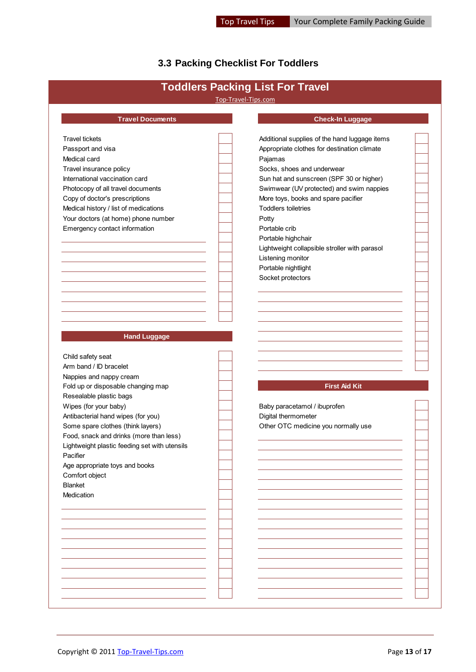# <span id="page-12-0"></span>**3.3 Packing Checklist For Toddlers**

|                                               | Top-Travel-Tips.com |                                               |  |
|-----------------------------------------------|---------------------|-----------------------------------------------|--|
| <b>Travel Documents</b>                       |                     | <b>Check-In Luggage</b>                       |  |
| <b>Travel tickets</b>                         |                     | Additional supplies of the hand luggage items |  |
| Passport and visa                             |                     | Appropriate clothes for destination climate   |  |
| Medical card                                  |                     | Pajamas                                       |  |
| Travel insurance policy                       |                     | Socks, shoes and underwear                    |  |
| International vaccination card                |                     | Sun hat and sunscreen (SPF 30 or higher)      |  |
| Photocopy of all travel documents             |                     | Swimwear (UV protected) and swim nappies      |  |
| Copy of doctor's prescriptions                |                     | More toys, books and spare pacifier           |  |
| Medical history / list of medications         |                     | <b>Toddlers toiletries</b>                    |  |
| Your doctors (at home) phone number           |                     | Potty                                         |  |
| Emergency contact information                 |                     | Portable crib                                 |  |
|                                               |                     | Portable highchair                            |  |
|                                               |                     | Lightweight collapsible stroller with parasol |  |
|                                               |                     | Listening monitor                             |  |
|                                               |                     | Portable nightlight                           |  |
|                                               |                     | Socket protectors                             |  |
|                                               |                     |                                               |  |
|                                               |                     |                                               |  |
|                                               |                     |                                               |  |
|                                               |                     |                                               |  |
|                                               |                     |                                               |  |
| <b>Hand Luggage</b>                           |                     |                                               |  |
|                                               |                     |                                               |  |
| Child safety seat                             |                     |                                               |  |
| Arm band / ID bracelet                        |                     |                                               |  |
| Nappies and nappy cream                       |                     |                                               |  |
| Fold up or disposable changing map            |                     | <b>First Aid Kit</b>                          |  |
| Resealable plastic bags                       |                     |                                               |  |
| Wipes (for your baby)                         |                     | Baby paracetamol / ibuprofen                  |  |
| Antibacterial hand wipes (for you)            |                     | Digital thermometer                           |  |
| Some spare clothes (think layers)             |                     | Other OTC medicine you normally use           |  |
| Food, snack and drinks (more than less)       |                     |                                               |  |
| Lightweight plastic feeding set with utensils |                     |                                               |  |
| Pacifier                                      |                     |                                               |  |
| Age appropriate toys and books                |                     |                                               |  |
| Comfort object                                |                     |                                               |  |
| <b>Blanket</b>                                |                     |                                               |  |
| Medication                                    |                     |                                               |  |
|                                               |                     |                                               |  |
|                                               |                     |                                               |  |
|                                               |                     |                                               |  |
|                                               |                     |                                               |  |
|                                               |                     |                                               |  |
|                                               |                     |                                               |  |
|                                               |                     |                                               |  |
|                                               |                     |                                               |  |
|                                               |                     |                                               |  |
|                                               |                     |                                               |  |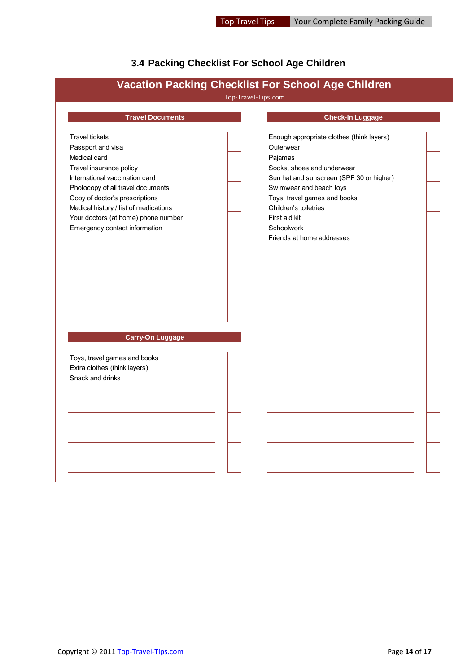# <span id="page-13-0"></span>**3.4 Packing Checklist For School Age Children**

| <b>Travel Documents</b>               | <b>Check-In Luggage</b>                   |
|---------------------------------------|-------------------------------------------|
| <b>Travel tickets</b>                 | Enough appropriate clothes (think layers) |
| Passport and visa                     | Outerwear                                 |
| Medical card                          | Pajamas                                   |
| Travel insurance policy               | Socks, shoes and underwear                |
| International vaccination card        | Sun hat and sunscreen (SPF 30 or higher)  |
| Photocopy of all travel documents     | Swimwear and beach toys                   |
| Copy of doctor's prescriptions        | Toys, travel games and books              |
| Medical history / list of medications | Children's toiletries                     |
| Your doctors (at home) phone number   | First aid kit                             |
| Emergency contact information         | Schoolwork                                |
|                                       | Friends at home addresses                 |
|                                       |                                           |
|                                       |                                           |
|                                       |                                           |
| <b>Carry-On Luggage</b>               |                                           |
| Toys, travel games and books          |                                           |
| Extra clothes (think layers)          |                                           |
| Snack and drinks                      |                                           |
|                                       |                                           |
|                                       |                                           |
|                                       |                                           |
|                                       |                                           |
|                                       |                                           |
|                                       |                                           |
|                                       |                                           |
|                                       |                                           |
|                                       |                                           |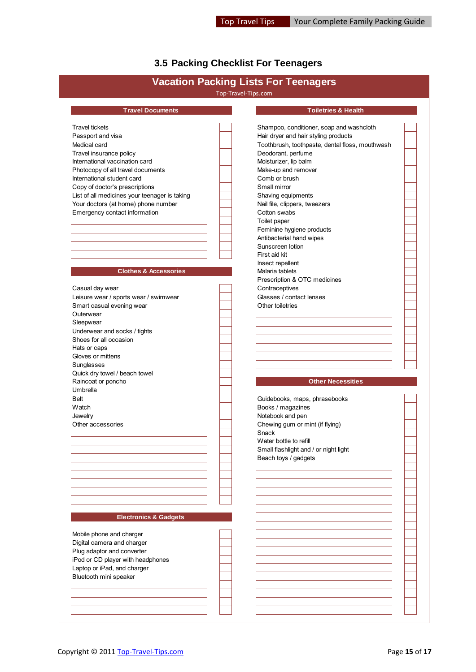# <span id="page-14-0"></span>**3.5 Packing Checklist For Teenagers**

|                                               | Top-Travel-Tips.com | <b>Vacation Packing Lists For Teenagers</b>     |  |
|-----------------------------------------------|---------------------|-------------------------------------------------|--|
| <b>Travel Documents</b>                       |                     | <b>Toiletries &amp; Health</b>                  |  |
|                                               |                     |                                                 |  |
| <b>Travel tickets</b>                         |                     | Shampoo, conditioner, soap and washcloth        |  |
| Passport and visa                             |                     | Hair dryer and hair styling products            |  |
| Medical card                                  |                     | Toothbrush, toothpaste, dental floss, mouthwash |  |
| Travel insurance policy                       |                     | Deodorant, perfume                              |  |
| International vaccination card                |                     | Moisturizer, lip balm                           |  |
| Photocopy of all travel documents             |                     | Make-up and remover                             |  |
| International student card                    |                     | Comb or brush                                   |  |
| Copy of doctor's prescriptions                |                     | Small mirror                                    |  |
| List of all medicines your teenager is taking |                     | Shaving equipments                              |  |
| Your doctors (at home) phone number           |                     | Nail file, clippers, tweezers                   |  |
| Emergency contact information                 |                     | Cotton swabs                                    |  |
|                                               |                     | Toilet paper                                    |  |
|                                               |                     | Feminine hygiene products                       |  |
|                                               |                     |                                                 |  |
|                                               |                     | Antibacterial hand wipes                        |  |
|                                               |                     | Sunscreen lotion                                |  |
|                                               |                     | First aid kit                                   |  |
|                                               |                     | Insect repellent                                |  |
| <b>Clothes &amp; Accessories</b>              |                     | Malaria tablets                                 |  |
|                                               |                     | Prescription & OTC medicines                    |  |
| Casual day wear                               |                     | Contraceptives                                  |  |
| Leisure wear / sports wear / swimwear         |                     | Glasses / contact lenses                        |  |
| Smart casual evening wear                     |                     | Other toiletries                                |  |
| Outerwear                                     |                     |                                                 |  |
| Sleepwear                                     |                     |                                                 |  |
| Underwear and socks / tights                  |                     |                                                 |  |
| Shoes for all occasion                        |                     |                                                 |  |
| Hats or caps                                  |                     |                                                 |  |
| Gloves or mittens                             |                     |                                                 |  |
| Sunglasses                                    |                     |                                                 |  |
|                                               |                     |                                                 |  |
| Quick dry towel / beach towel                 |                     |                                                 |  |
| Raincoat or poncho                            |                     | <b>Other Necessities</b>                        |  |
| Umbrella                                      |                     |                                                 |  |
| <b>Belt</b>                                   |                     | Guidebooks, maps, phrasebooks                   |  |
| Watch                                         |                     | Books / magazines                               |  |
| Jewelry                                       |                     | Notebook and pen                                |  |
| Other accessories                             |                     | Chewing gum or mint (if flying)                 |  |
|                                               |                     | Snack                                           |  |
|                                               |                     | Water bottle to refill                          |  |
|                                               |                     | Small flashlight and / or night light           |  |
|                                               |                     | Beach toys / gadgets                            |  |
|                                               |                     |                                                 |  |
|                                               |                     |                                                 |  |
|                                               |                     |                                                 |  |
|                                               |                     |                                                 |  |
|                                               |                     |                                                 |  |
|                                               |                     |                                                 |  |
| <b>Electronics &amp; Gadgets</b>              |                     |                                                 |  |
|                                               |                     |                                                 |  |
|                                               |                     |                                                 |  |
| Mobile phone and charger                      |                     |                                                 |  |
| Digital camera and charger                    |                     |                                                 |  |
| Plug adaptor and converter                    |                     |                                                 |  |
| iPod or CD player with headphones             |                     |                                                 |  |
| Laptop or iPad, and charger                   |                     |                                                 |  |
| Bluetooth mini speaker                        |                     |                                                 |  |
|                                               |                     |                                                 |  |
|                                               |                     |                                                 |  |
|                                               |                     |                                                 |  |
|                                               |                     |                                                 |  |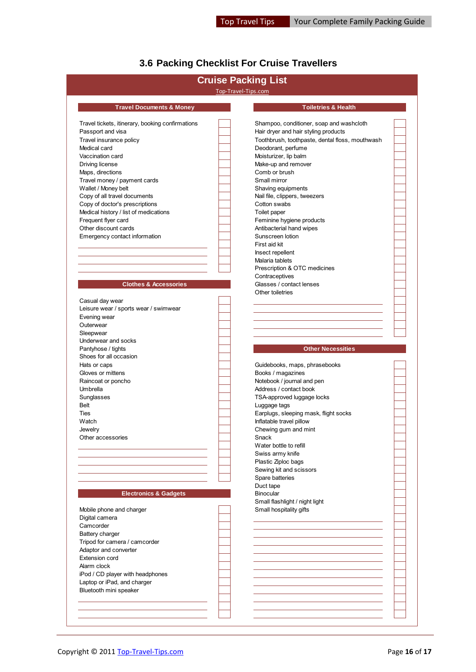# <span id="page-15-0"></span>**3.6 Packing Checklist For Cruise Travellers**

|                                                  | <b>Cruise Packing List</b>                      |  |
|--------------------------------------------------|-------------------------------------------------|--|
|                                                  | Top-Travel-Tips.com                             |  |
| <b>Travel Documents &amp; Money</b>              | <b>Toiletries &amp; Health</b>                  |  |
| Travel tickets, itinerary, booking confirmations | Shampoo, conditioner, soap and washcloth        |  |
| Passport and visa                                | Hair dryer and hair styling products            |  |
| Travel insurance policy                          | Toothbrush, toothpaste, dental floss, mouthwash |  |
| Medical card                                     | Deodorant, perfume                              |  |
| Vaccination card                                 | Moisturizer, lip balm                           |  |
| Driving license                                  | Make-up and remover                             |  |
| Maps, directions                                 | Comb or brush                                   |  |
| Travel money / payment cards                     | Small mirror                                    |  |
| Wallet / Money belt                              | Shaving equipments                              |  |
| Copy of all travel documents                     | Nail file, clippers, tweezers                   |  |
| Copy of doctor's prescriptions                   | Cotton swabs                                    |  |
|                                                  |                                                 |  |
| Medical history / list of medications            | Toilet paper                                    |  |
| Frequent flyer card                              | Feminine hygiene products                       |  |
| Other discount cards                             | Antibacterial hand wipes                        |  |
| Emergency contact information                    | Sunscreen lotion                                |  |
|                                                  | First aid kit                                   |  |
|                                                  | Insect repellent                                |  |
|                                                  | Malaria tablets                                 |  |
|                                                  | Prescription & OTC medicines                    |  |
|                                                  | Contraceptives                                  |  |
| <b>Clothes &amp; Accessories</b>                 | Glasses / contact lenses                        |  |
|                                                  | Other toiletries                                |  |
| Casual day wear                                  |                                                 |  |
| Leisure wear / sports wear / swimwear            |                                                 |  |
| Evening wear                                     |                                                 |  |
| Outerwear                                        |                                                 |  |
| Sleepwear                                        |                                                 |  |
| Underwear and socks                              |                                                 |  |
| Pantyhose / tights                               | <b>Other Necessities</b>                        |  |
| Shoes for all occasion                           |                                                 |  |
|                                                  |                                                 |  |
| Hats or caps<br>Gloves or mittens                | Guidebooks, maps, phrasebooks                   |  |
|                                                  | Books / magazines                               |  |
| Raincoat or poncho                               | Notebook / journal and pen                      |  |
| Umbrella                                         | Address / contact book                          |  |
| Sunglasses                                       | TSA-approved luggage locks                      |  |
| Belt                                             | Luggage tags                                    |  |
| Ties                                             | Earplugs, sleeping mask, flight socks           |  |
| Watch                                            | Inflatable travel pillow                        |  |
| Jewelry                                          |                                                 |  |
|                                                  | Chewing gum and mint                            |  |
| Other accessories                                | Snack                                           |  |
|                                                  | Water bottle to refill                          |  |
|                                                  | Swiss army knife                                |  |
|                                                  |                                                 |  |
|                                                  | Plastic Ziploc bags                             |  |
|                                                  | Sewing kit and scissors                         |  |
|                                                  | Spare batteries                                 |  |
|                                                  | Duct tape                                       |  |
| <b>Electronics &amp; Gadgets</b>                 | Binocular                                       |  |
|                                                  | Small flashlight / night light                  |  |
| Mobile phone and charger                         | Small hospitality gifts                         |  |
| Digital camera                                   |                                                 |  |
| Camcorder                                        |                                                 |  |
| Battery charger                                  |                                                 |  |
| Tripod for camera / camcorder                    |                                                 |  |
| Adaptor and converter                            |                                                 |  |
| <b>Extension cord</b>                            |                                                 |  |
| Alarm clock                                      |                                                 |  |
|                                                  |                                                 |  |
| iPod / CD player with headphones                 |                                                 |  |
| Laptop or iPad, and charger                      |                                                 |  |
| Bluetooth mini speaker                           |                                                 |  |
|                                                  |                                                 |  |